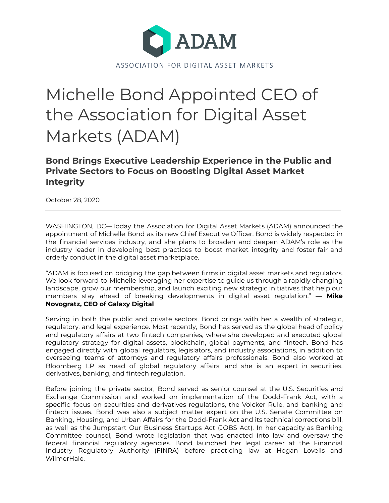

## Michelle Bond Appointed CEO of the Association for Digital Asset Markets (ADAM)

**Bond Brings Executive Leadership Experience in the Public and Private Sectors to Focus on Boosting Digital Asset Market Integrity**

October 28, 2020

WASHINGTON, DC—Today the Association for Digital Asset Markets (ADAM) announced the appointment of Michelle Bond as its new Chief Executive Officer. Bond is widely respected in the financial services industry, and she plans to broaden and deepen ADAM's role as the industry leader in developing best practices to boost market integrity and foster fair and orderly conduct in the digital asset marketplace.

"ADAM is focused on bridging the gap between firms in digital asset markets and regulators. We look forward to Michelle leveraging her expertise to guide us through a rapidly changing landscape, grow our membership, and launch exciting new strategic initiatives that help our members stay ahead of breaking developments in digital asset regulation." **— Mike Novogratz, CEO of Galaxy Digital**

Serving in both the public and private sectors, Bond brings with her a wealth of strategic, regulatory, and legal experience. Most recently, Bond has served as the global head of policy and regulatory affairs at two fintech companies, where she developed and executed global regulatory strategy for digital assets, blockchain, global payments, and fintech. Bond has engaged directly with global regulators, legislators, and industry associations, in addition to overseeing teams of attorneys and regulatory affairs professionals. Bond also worked at Bloomberg LP as head of global regulatory affairs, and she is an expert in securities, derivatives, banking, and fintech regulation.

Before joining the private sector, Bond served as senior counsel at the U.S. Securities and Exchange Commission and worked on implementation of the Dodd-Frank Act, with a specific focus on securities and derivatives regulations, the Volcker Rule, and banking and fintech issues. Bond was also a subject matter expert on the U.S. Senate Committee on Banking, Housing, and Urban Affairs for the Dodd-Frank Act and its technical corrections bill, as well as the Jumpstart Our Business Startups Act (JOBS Act). In her capacity as Banking Committee counsel, Bond wrote legislation that was enacted into law and oversaw the federal financial regulatory agencies. Bond launched her legal career at the Financial Industry Regulatory Authority (FINRA) before practicing law at Hogan Lovells and WilmerHale.